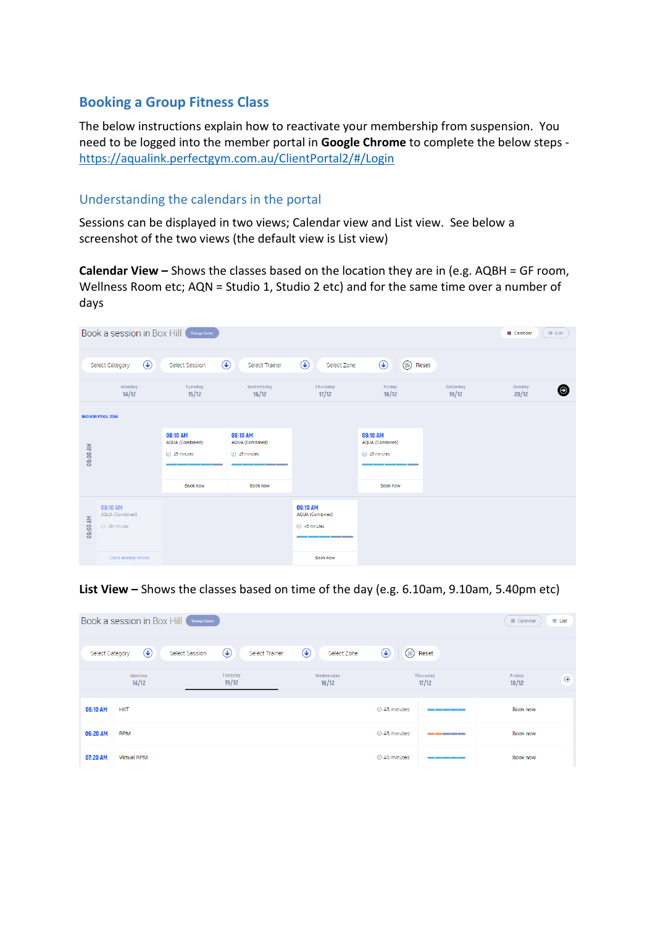## **Booking a Group Fitness Class**

The below instructions explain how to reactivate your membership from suspension. You need to be logged into the member portal in **Google Chrome** to complete the below steps <https://aqualink.perfectgym.com.au/ClientPortal2/#/Login>

## Understanding the calendars in the portal

Sessions can be displayed in two views; Calendar view and List view. See below a screenshot of the two views (the default view is List view)

**Calendar View –** Shows the classes based on the location they are in (e.g. AQBH = GF room, Wellness Room etc; AQN = Studio 1, Studio 2 etc) and for the same time over a number of days

|                 | Book a session in Box Hill                      | <b>Change Centre</b>                            |                                                        |                                                                                      |                                                                                    |                   | <b>III</b> Calendar<br>$\equiv$ List |
|-----------------|-------------------------------------------------|-------------------------------------------------|--------------------------------------------------------|--------------------------------------------------------------------------------------|------------------------------------------------------------------------------------|-------------------|--------------------------------------|
|                 | $\bigcirc$<br>Select Category                   | Select Session                                  | $\bigcirc$<br>Select Trainer                           | $\bigcirc$<br>Select Zone                                                            | $\bigcirc$<br>$(\mathbb{H})$<br>Reset                                              |                   |                                      |
|                 | Monday<br>14/12                                 | Tuesday<br>15/12                                | Wednesday<br>16/12                                     | Thursday<br>17/12                                                                    | Friday<br>18/12                                                                    | Saturday<br>19/12 | Sunday<br>◉<br>20/12                 |
|                 | <b>INDOOR POOL 25M</b>                          |                                                 |                                                        |                                                                                      |                                                                                    |                   |                                      |
| <b>08:00 AM</b> |                                                 | 08:10 AM<br>AQUA (Combined)<br>$(1)$ 45 minutes | 08:10 AM<br>AQUA (Combined)<br>$(1)$ 45 minutes<br>___ |                                                                                      | 08:10 AM<br>AQUA (Combined)<br>$($ <i>)</i> 45 minutes<br><b>Contract Contract</b> |                   |                                      |
|                 |                                                 | <b>Book now</b>                                 | Book now                                               |                                                                                      | <b>Book now</b>                                                                    |                   |                                      |
| 09:00 AM        | 09:10 AM<br>AQUA (Combined)<br>$(1)$ 45 minutes |                                                 |                                                        | 09:10 AM<br>AQUA (Combined)<br>$(1)$ 45 minutes<br>and the control of the control of |                                                                                    |                   |                                      |
|                 | Class already ended                             |                                                 |                                                        | <b>Book now</b>                                                                      |                                                                                    |                   |                                      |

## **List View –** Shows the classes based on time of the day (e.g. 6.10am, 9.10am, 5.40pm etc)

|                 | Book a session in Box Hill | <b>Change Centre</b> |                  |                |            |                    |                              |                                                                                                                       | <b>III</b> Calendar | $\equiv$ List |
|-----------------|----------------------------|----------------------|------------------|----------------|------------|--------------------|------------------------------|-----------------------------------------------------------------------------------------------------------------------|---------------------|---------------|
| Select Category | $\bigcirc$                 | Select Session       | $\bigcirc$       | Select Trainer | $\bigcirc$ | Select Zone        | $\circledast$<br>$($ lil $)$ | Reset                                                                                                                 |                     |               |
|                 | Monday<br>14/12            |                      | Tuesday<br>15/12 |                |            | Wednesday<br>16/12 |                              | Thursday<br>17/12                                                                                                     | Friday<br>18/12     | $\odot$       |
| 06:10 AM        | <b>HIIT</b>                |                      |                  |                |            |                    | 2 45 minutes                 | <u> Tanzania de Caractería de Caractería de Caractería de Caractería de Caractería de Caractería de Caractería do</u> | <b>Book now</b>     |               |
| 06:20 AM        | <b>RPM</b>                 |                      |                  |                |            |                    | 20 45 minutes                | <u> 1980 - Jan James Barnett, filozof b</u>                                                                           | <b>Book now</b>     |               |
| 07:20 AM        | <b>Virtual RPM</b>         |                      |                  |                |            |                    | 2 45 minutes                 | _____                                                                                                                 | <b>Book now</b>     |               |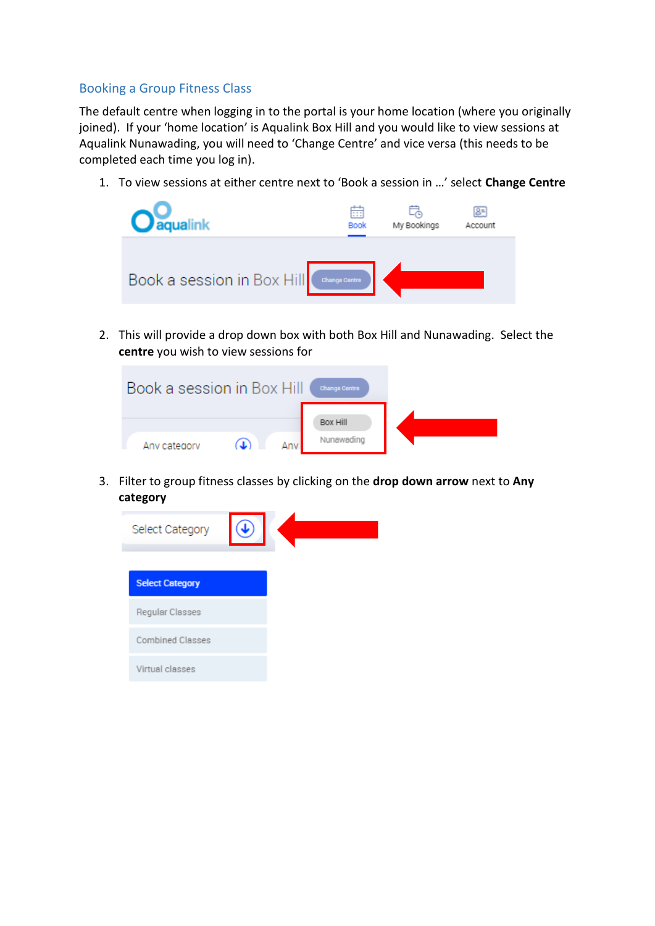## Booking a Group Fitness Class

The default centre when logging in to the portal is your home location (where you originally joined). If your 'home location' is Aqualink Box Hill and you would like to view sessions at Aqualink Nunawading, you will need to 'Change Centre' and vice versa (this needs to be completed each time you log in).

1. To view sessions at either centre next to 'Book a session in …' select **Change Centre**



2. This will provide a drop down box with both Box Hill and Nunawading. Select the **centre** you wish to view sessions for



3. Filter to group fitness classes by clicking on the **drop down arrow** next to **Any category**

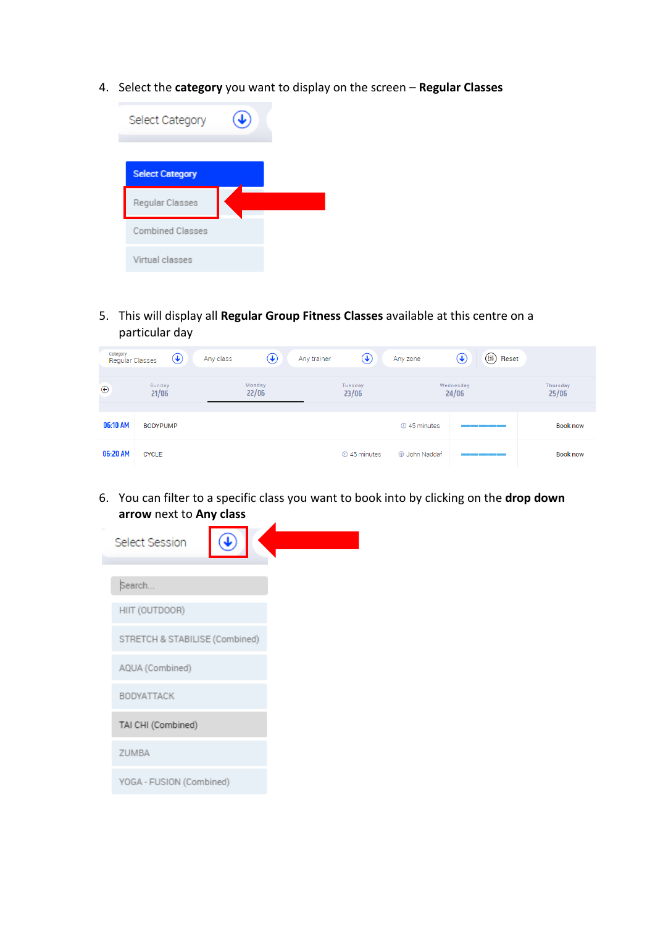4. Select the **category** you want to display on the screen – **Regular Classes**



5. This will display all **Regular Group Fitness Classes** available at this centre on a particular day

| Category<br>Regular Classes | $\bigcirc$      | $\bigcirc$<br>Any class | $\circledast$<br>Any trainer | ⊕<br>(1)<br>Reset<br>Any zone |                   |
|-----------------------------|-----------------|-------------------------|------------------------------|-------------------------------|-------------------|
| $\bigcirc$                  | Sunday<br>21/06 | Monday<br>22/06         | Tuesday<br>23/06             | Wednesday<br>24/06            | Thursday<br>25/06 |
| 06:10 AM                    | <b>BODYPUMP</b> |                         |                              | $\odot$ 45 minutes            | <b>Book now</b>   |
| 06:20 AM                    | <b>CYCLE</b>    |                         | $O$ 45 minutes               | <b>A</b> John Naddaf          | <b>Book now</b>   |

6. You can filter to a specific class you want to book into by clicking on the **drop down arrow** next to **Any class** $\overline{a}$ 

| Select Session                 |  |
|--------------------------------|--|
|                                |  |
| Search                         |  |
| HIIT (OUTDOOR)                 |  |
| STRETCH & STABILISE (Combined) |  |
| AQUA (Combined)                |  |
| BODYATTACK                     |  |
| TAI CHI (Combined)             |  |
| ZUMBA                          |  |
| YOGA - FUSION (Combined)       |  |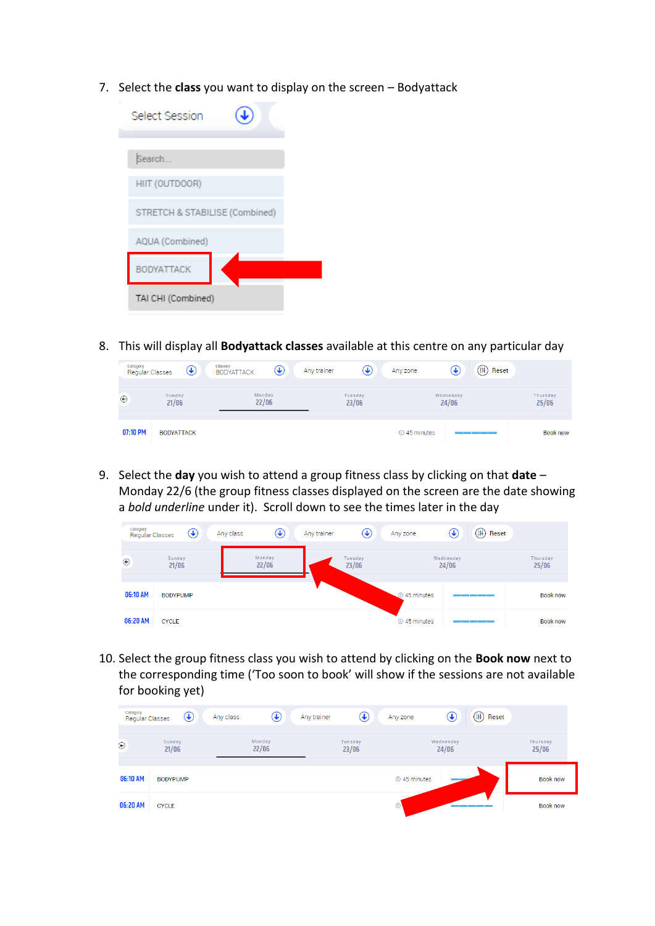7. Select the **class** you want to display on the screen – Bodyattack

| Select Session                 |  |
|--------------------------------|--|
| Search                         |  |
| HIIT (OUTDOOR)                 |  |
| STRETCH & STABILISE (Combined) |  |
| AQUA (Combined)                |  |
| BODYATTACK                     |  |
| TAI CHI (Combined)             |  |

8. This will display all **Bodyattack classes** available at this centre on any particular day

| Category<br><b>Regular Classes</b> | $\left(\blacklozenge\right)$ | <b>Classes</b><br>⊕<br><b>BODYATTACK</b> | Any trainer<br>(↓, | Any zone     | $($ lii <sup>1</sup> ) Reset<br>$\left(\bigdownarrow\right)$ |                          |
|------------------------------------|------------------------------|------------------------------------------|--------------------|--------------|--------------------------------------------------------------|--------------------------|
| $^{\circ}$                         | Sunday<br>21/06              | Monday<br>22/06                          | Tuesday<br>23/06   |              | Wednesday<br>24/06                                           | <b>Thursday</b><br>25/06 |
| 07:10 PM                           | <b>BODYATTACK</b>            |                                          |                    | ⊙ 45 minutes |                                                              | <b>Book now</b>          |

9. Select the **day** you wish to attend a group fitness class by clicking on that **date** – Monday 22/6 (the group fitness classes displayed on the screen are the date showing a *bold underline* under it). Scroll down to see the times later in the day

| Category<br><b>Regular Classes</b> | $\circledast$   | ⊕<br>Any class  | Any trainer | $\left(\bigstar\right)$ | Any zone       | $\bigcirc$<br>$(\ddagger \ddagger)$ Reset |                   |
|------------------------------------|-----------------|-----------------|-------------|-------------------------|----------------|-------------------------------------------|-------------------|
| $\odot$                            | Sunday<br>21/06 | Monday<br>22/06 |             | Tuesday<br>23/06        |                | Wednesday<br>24/06                        | Thursday<br>25/06 |
| 06:10 AM                           | <b>BODYPUMP</b> |                 |             |                         | 45 minutes     |                                           | <b>Book now</b>   |
| 06:20 AM                           | <b>CYCLE</b>    |                 |             |                         | $O$ 45 minutes |                                           | Book now          |

10. Select the group fitness class you wish to attend by clicking on the **Book now** next to the corresponding time ('Too soon to book' will show if the sessions are not available for booking yet)

| Category<br>Regular Classes | $\bigcirc$             | $\bigcirc$<br>Any class | $\bigcirc$<br>Any trainer<br>Any zone | $\bigcirc$<br>$(\mathbb{H})$<br>Reset |                   |
|-----------------------------|------------------------|-------------------------|---------------------------------------|---------------------------------------|-------------------|
| $\odot$                     | <b>Sunday</b><br>21/06 | Monday<br>22/06         | Tuesday<br>23/06                      | Wednesday<br>24/06                    | Thursday<br>25/06 |
| 06:10 AM                    | <b>BODYPUMP</b>        |                         |                                       | $O$ 45 minutes                        | <b>Book now</b>   |
| 06:20 AM                    | <b>CYCLE</b>           |                         | $\circ$                               |                                       | <b>Book now</b>   |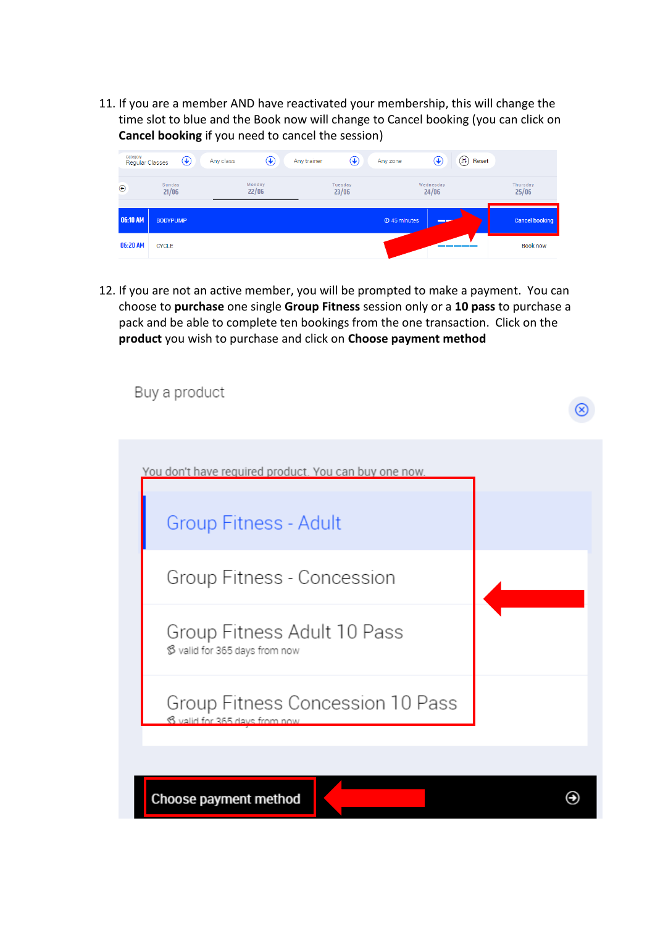11. If you are a member AND have reactivated your membership, this will change the time slot to blue and the Book now will change to Cancel booking (you can click on **Cancel booking** if you need to cancel the session)



12. If you are not an active member, you will be prompted to make a payment. You can choose to **purchase** one single **Group Fitness** session only or a **10 pass** to purchase a pack and be able to complete ten bookings from the one transaction. Click on the **product** you wish to purchase and click on **Choose payment method**